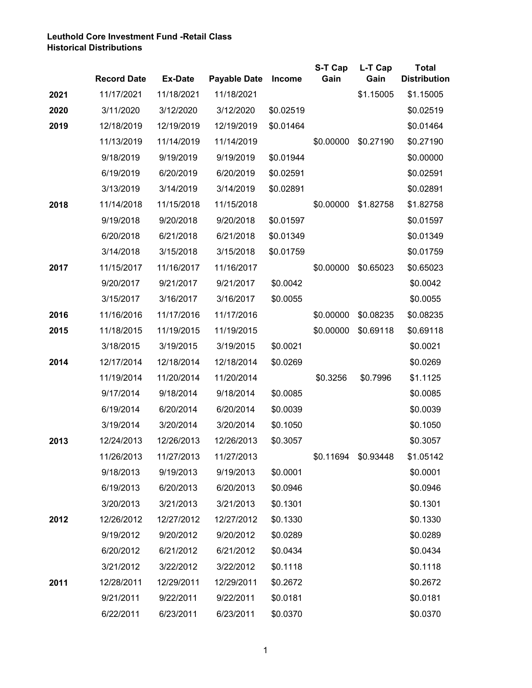## **Leuthold Core Investment Fund -Retail Class Historical Distributions**

|      |                    |                |                     |               | S-T Cap   | L-T Cap   | <b>Total</b>        |
|------|--------------------|----------------|---------------------|---------------|-----------|-----------|---------------------|
|      | <b>Record Date</b> | <b>Ex-Date</b> | <b>Payable Date</b> | <b>Income</b> | Gain      | Gain      | <b>Distribution</b> |
| 2021 | 11/17/2021         | 11/18/2021     | 11/18/2021          |               |           | \$1.15005 | \$1.15005           |
| 2020 | 3/11/2020          | 3/12/2020      | 3/12/2020           | \$0.02519     |           |           | \$0.02519           |
| 2019 | 12/18/2019         | 12/19/2019     | 12/19/2019          | \$0.01464     |           |           | \$0.01464           |
|      | 11/13/2019         | 11/14/2019     | 11/14/2019          |               | \$0.00000 | \$0.27190 | \$0.27190           |
|      | 9/18/2019          | 9/19/2019      | 9/19/2019           | \$0.01944     |           |           | \$0.00000           |
|      | 6/19/2019          | 6/20/2019      | 6/20/2019           | \$0.02591     |           |           | \$0.02591           |
|      | 3/13/2019          | 3/14/2019      | 3/14/2019           | \$0.02891     |           |           | \$0.02891           |
| 2018 | 11/14/2018         | 11/15/2018     | 11/15/2018          |               | \$0.00000 | \$1.82758 | \$1.82758           |
|      | 9/19/2018          | 9/20/2018      | 9/20/2018           | \$0.01597     |           |           | \$0.01597           |
|      | 6/20/2018          | 6/21/2018      | 6/21/2018           | \$0.01349     |           |           | \$0.01349           |
|      | 3/14/2018          | 3/15/2018      | 3/15/2018           | \$0.01759     |           |           | \$0.01759           |
| 2017 | 11/15/2017         | 11/16/2017     | 11/16/2017          |               | \$0.00000 | \$0.65023 | \$0.65023           |
|      | 9/20/2017          | 9/21/2017      | 9/21/2017           | \$0.0042      |           |           | \$0.0042            |
|      | 3/15/2017          | 3/16/2017      | 3/16/2017           | \$0.0055      |           |           | \$0.0055            |
| 2016 | 11/16/2016         | 11/17/2016     | 11/17/2016          |               | \$0.00000 | \$0.08235 | \$0.08235           |
| 2015 | 11/18/2015         | 11/19/2015     | 11/19/2015          |               | \$0.00000 | \$0.69118 | \$0.69118           |
|      | 3/18/2015          | 3/19/2015      | 3/19/2015           | \$0.0021      |           |           | \$0.0021            |
| 2014 | 12/17/2014         | 12/18/2014     | 12/18/2014          | \$0.0269      |           |           | \$0.0269            |
|      | 11/19/2014         | 11/20/2014     | 11/20/2014          |               | \$0.3256  | \$0.7996  | \$1.1125            |
|      | 9/17/2014          | 9/18/2014      | 9/18/2014           | \$0.0085      |           |           | \$0.0085            |
|      | 6/19/2014          | 6/20/2014      | 6/20/2014           | \$0.0039      |           |           | \$0.0039            |
|      | 3/19/2014          | 3/20/2014      | 3/20/2014           | \$0.1050      |           |           | \$0.1050            |
| 2013 | 12/24/2013         | 12/26/2013     | 12/26/2013          | \$0.3057      |           |           | \$0.3057            |
|      | 11/26/2013         | 11/27/2013     | 11/27/2013          |               | \$0.11694 | \$0.93448 | \$1.05142           |
|      | 9/18/2013          | 9/19/2013      | 9/19/2013           | \$0.0001      |           |           | \$0.0001            |
|      | 6/19/2013          | 6/20/2013      | 6/20/2013           | \$0.0946      |           |           | \$0.0946            |
|      | 3/20/2013          | 3/21/2013      | 3/21/2013           | \$0.1301      |           |           | \$0.1301            |
| 2012 | 12/26/2012         | 12/27/2012     | 12/27/2012          | \$0.1330      |           |           | \$0.1330            |
|      | 9/19/2012          | 9/20/2012      | 9/20/2012           | \$0.0289      |           |           | \$0.0289            |
|      | 6/20/2012          | 6/21/2012      | 6/21/2012           | \$0.0434      |           |           | \$0.0434            |
|      | 3/21/2012          | 3/22/2012      | 3/22/2012           | \$0.1118      |           |           | \$0.1118            |
| 2011 | 12/28/2011         | 12/29/2011     | 12/29/2011          | \$0.2672      |           |           | \$0.2672            |
|      | 9/21/2011          | 9/22/2011      | 9/22/2011           | \$0.0181      |           |           | \$0.0181            |
|      | 6/22/2011          | 6/23/2011      | 6/23/2011           | \$0.0370      |           |           | \$0.0370            |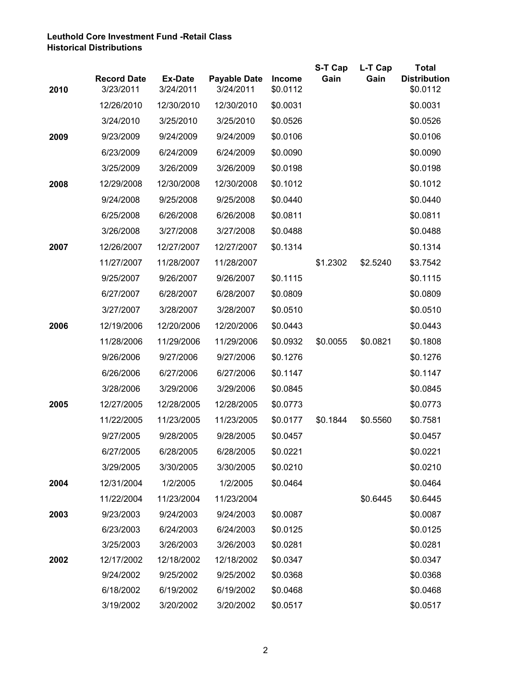## **Leuthold Core Investment Fund -Retail Class Historical Distributions**

|      |                                 |                             |                                  |                           | S-T Cap  | L-T Cap  | <b>Total</b><br><b>Distribution</b> |
|------|---------------------------------|-----------------------------|----------------------------------|---------------------------|----------|----------|-------------------------------------|
| 2010 | <b>Record Date</b><br>3/23/2011 | <b>Ex-Date</b><br>3/24/2011 | <b>Payable Date</b><br>3/24/2011 | <b>Income</b><br>\$0.0112 | Gain     | Gain     | \$0.0112                            |
|      | 12/26/2010                      | 12/30/2010                  | 12/30/2010                       | \$0.0031                  |          |          | \$0.0031                            |
|      | 3/24/2010                       | 3/25/2010                   | 3/25/2010                        | \$0.0526                  |          |          | \$0.0526                            |
| 2009 | 9/23/2009                       | 9/24/2009                   | 9/24/2009                        | \$0.0106                  |          |          | \$0.0106                            |
|      | 6/23/2009                       | 6/24/2009                   | 6/24/2009                        | \$0.0090                  |          |          | \$0.0090                            |
|      | 3/25/2009                       | 3/26/2009                   | 3/26/2009                        | \$0.0198                  |          |          | \$0.0198                            |
| 2008 | 12/29/2008                      | 12/30/2008                  | 12/30/2008                       | \$0.1012                  |          |          | \$0.1012                            |
|      | 9/24/2008                       | 9/25/2008                   | 9/25/2008                        | \$0.0440                  |          |          | \$0.0440                            |
|      | 6/25/2008                       | 6/26/2008                   | 6/26/2008                        | \$0.0811                  |          |          | \$0.0811                            |
|      | 3/26/2008                       | 3/27/2008                   | 3/27/2008                        | \$0.0488                  |          |          | \$0.0488                            |
| 2007 | 12/26/2007                      | 12/27/2007                  | 12/27/2007                       | \$0.1314                  |          |          | \$0.1314                            |
|      | 11/27/2007                      | 11/28/2007                  | 11/28/2007                       |                           | \$1.2302 | \$2.5240 | \$3.7542                            |
|      | 9/25/2007                       | 9/26/2007                   | 9/26/2007                        | \$0.1115                  |          |          | \$0.1115                            |
|      | 6/27/2007                       | 6/28/2007                   | 6/28/2007                        | \$0.0809                  |          |          | \$0.0809                            |
|      | 3/27/2007                       | 3/28/2007                   | 3/28/2007                        | \$0.0510                  |          |          | \$0.0510                            |
| 2006 | 12/19/2006                      | 12/20/2006                  | 12/20/2006                       | \$0.0443                  |          |          | \$0.0443                            |
|      | 11/28/2006                      | 11/29/2006                  | 11/29/2006                       | \$0.0932                  | \$0.0055 | \$0.0821 | \$0.1808                            |
|      | 9/26/2006                       | 9/27/2006                   | 9/27/2006                        | \$0.1276                  |          |          | \$0.1276                            |
|      | 6/26/2006                       | 6/27/2006                   | 6/27/2006                        | \$0.1147                  |          |          | \$0.1147                            |
|      | 3/28/2006                       | 3/29/2006                   | 3/29/2006                        | \$0.0845                  |          |          | \$0.0845                            |
| 2005 | 12/27/2005                      | 12/28/2005                  | 12/28/2005                       | \$0.0773                  |          |          | \$0.0773                            |
|      | 11/22/2005                      | 11/23/2005                  | 11/23/2005                       | \$0.0177                  | \$0.1844 | \$0.5560 | \$0.7581                            |
|      | 9/27/2005                       | 9/28/2005                   | 9/28/2005                        | \$0.0457                  |          |          | \$0.0457                            |
|      | 6/27/2005                       | 6/28/2005                   | 6/28/2005                        | \$0.0221                  |          |          | \$0.0221                            |
|      | 3/29/2005                       | 3/30/2005                   | 3/30/2005                        | \$0.0210                  |          |          | \$0.0210                            |
| 2004 | 12/31/2004                      | 1/2/2005                    | 1/2/2005                         | \$0.0464                  |          |          | \$0.0464                            |
|      | 11/22/2004                      | 11/23/2004                  | 11/23/2004                       |                           |          | \$0.6445 | \$0.6445                            |
| 2003 | 9/23/2003                       | 9/24/2003                   | 9/24/2003                        | \$0.0087                  |          |          | \$0.0087                            |
|      | 6/23/2003                       | 6/24/2003                   | 6/24/2003                        | \$0.0125                  |          |          | \$0.0125                            |
|      | 3/25/2003                       | 3/26/2003                   | 3/26/2003                        | \$0.0281                  |          |          | \$0.0281                            |
| 2002 | 12/17/2002                      | 12/18/2002                  | 12/18/2002                       | \$0.0347                  |          |          | \$0.0347                            |
|      | 9/24/2002                       | 9/25/2002                   | 9/25/2002                        | \$0.0368                  |          |          | \$0.0368                            |
|      | 6/18/2002                       | 6/19/2002                   | 6/19/2002                        | \$0.0468                  |          |          | \$0.0468                            |
|      | 3/19/2002                       | 3/20/2002                   | 3/20/2002                        | \$0.0517                  |          |          | \$0.0517                            |